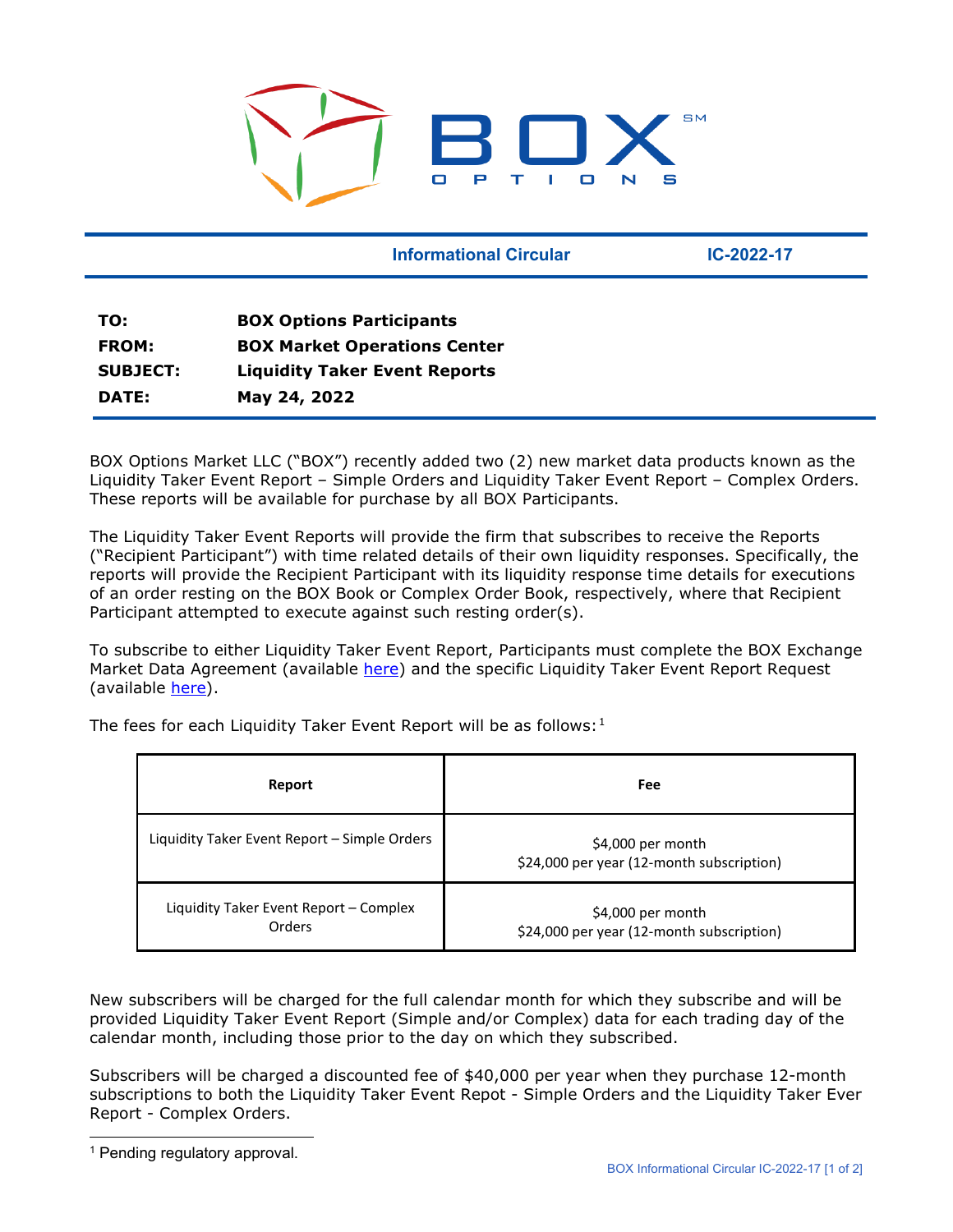

**Informational Circular Canadian Circular Construction IC-2022-17** 

| TO:             | <b>BOX Options Participants</b>      |
|-----------------|--------------------------------------|
| <b>FROM:</b>    | <b>BOX Market Operations Center</b>  |
| <b>SUBJECT:</b> | <b>Liquidity Taker Event Reports</b> |
| DATE:           | May 24, 2022                         |

BOX Options Market LLC ("BOX") recently added two (2) new market data products known as the Liquidity Taker Event Report – Simple Orders and Liquidity Taker Event Report – Complex Orders. These reports will be available for purchase by all BOX Participants.

The Liquidity Taker Event Reports will provide the firm that subscribes to receive the Reports ("Recipient Participant") with time related details of their own liquidity responses. Specifically, the reports will provide the Recipient Participant with its liquidity response time details for executions of an order resting on the BOX Book or Complex Order Book, respectively, where that Recipient Participant attempted to execute against such resting order(s).

To subscribe to either Liquidity Taker Event Report, Participants must complete the BOX Exchange Market Data Agreement (available [here\)](https://boxexchange.com/resources/technology-agreements/) and the specific Liquidity Taker Event Report Request (available [here\)](https://boxexchange.com/assets/Liquidity-Taker-Event-Report-Request_5.23.2022.pdf).

The fees for each Liquidity Taker Event Report will be as follows:<sup>[1](#page-0-0)</sup>

| Report                                           | Fee                                                             |
|--------------------------------------------------|-----------------------------------------------------------------|
| Liquidity Taker Event Report - Simple Orders     | $$4,000$ per month<br>\$24,000 per year (12-month subscription) |
| Liquidity Taker Event Report - Complex<br>Orders | $$4,000$ per month<br>\$24,000 per year (12-month subscription) |

New subscribers will be charged for the full calendar month for which they subscribe and will be provided Liquidity Taker Event Report (Simple and/or Complex) data for each trading day of the calendar month, including those prior to the day on which they subscribed.

Subscribers will be charged a discounted fee of \$40,000 per year when they purchase 12-month subscriptions to both the Liquidity Taker Event Repot - Simple Orders and the Liquidity Taker Ever Report - Complex Orders.

<span id="page-0-0"></span><sup>&</sup>lt;sup>1</sup> Pending regulatory approval.